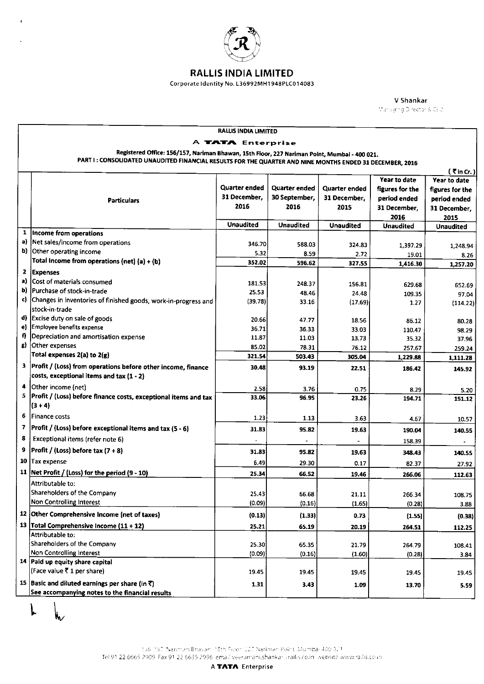

## RALLiS iNDIA LiMiTED

## Corporate ldentity No L36992MH1 948PLC01 4083

V Shankar Managing Director & CEO

| RALLIS INDIA LIMITED                                                                                     |                                                                 |                   |                  |                 |                  |                  |  |  |
|----------------------------------------------------------------------------------------------------------|-----------------------------------------------------------------|-------------------|------------------|-----------------|------------------|------------------|--|--|
|                                                                                                          |                                                                 | A TATA Enterprise |                  |                 |                  |                  |  |  |
| Registered Office: 156/157, Nariman Bhawan, 15th Floor, 227 Nariman Point, Mumbai - 400 021.             |                                                                 |                   |                  |                 |                  |                  |  |  |
| PART I: CONSOLIDATED UNAUDITED FINANCIAL RESULTS FOR THE QUARTER AND NINE MONTHS ENDED 31 DECEMBER, 2016 |                                                                 |                   |                  |                 |                  |                  |  |  |
| $(5 \nvert$ in Cr. )                                                                                     |                                                                 |                   |                  |                 |                  |                  |  |  |
|                                                                                                          |                                                                 |                   |                  |                 | Year to date     | Year to date     |  |  |
|                                                                                                          |                                                                 | Quarter ended     | Quarter ended    | Quarter ended   | figures for the  | figures for the  |  |  |
|                                                                                                          | <b>Particulars</b>                                              | 31 December.      | 30 September,    | 31 December,    | period ended     | period ended     |  |  |
|                                                                                                          |                                                                 | 2016              | 2016             | 2015            | 31 December,     | 31 December,     |  |  |
|                                                                                                          |                                                                 |                   |                  |                 | 2016             | 2015             |  |  |
|                                                                                                          |                                                                 | <b>Unaudited</b>  | <b>Unaudited</b> | Unaudited       | <b>Unaudited</b> | <b>Unaudited</b> |  |  |
|                                                                                                          | 1  Income from operations                                       |                   |                  |                 |                  |                  |  |  |
|                                                                                                          | a) Net sales/income from operations                             | 346.70            | 588.03           | 324.83          | 1.397.29         | 1,248.94         |  |  |
|                                                                                                          | b) Other operating income                                       | 5.32              | 8.59             | 2.72            | 19.01            | 8.26             |  |  |
|                                                                                                          | Total Income from operations (net) (a) + (b)                    | 352.02            | 596.62           | 327.55          | 1,416.30         | 1,257.20         |  |  |
| 2                                                                                                        | <b>Expenses</b>                                                 |                   |                  |                 |                  |                  |  |  |
| a)                                                                                                       | Cost of materials consumed                                      | 181.53            | 248.37           | 156.81          | 629.68           |                  |  |  |
| b)                                                                                                       | Purchase of stock-in-trade                                      | 25.53             | 48.46            | 24.48           | 109.35           | 652.69<br>97.04  |  |  |
| C)                                                                                                       | Changes in inventories of finished goods, work-in-progress and  | (39.78)           | 33.16            | (17.69)         | 1.27             | (114.22)         |  |  |
|                                                                                                          | stock-in-trade                                                  |                   |                  |                 |                  |                  |  |  |
|                                                                                                          | d) Excise duty on sale of goods                                 | 20.66             | 47.77            | 18.56           | 86.12            | 80.28            |  |  |
|                                                                                                          | e) Employee benefits expense                                    | 36.71             | 36.33            | 33.03           | 110.47           | 98.29            |  |  |
| f)                                                                                                       | Depreciation and amortisation expense                           | 11.87             | 11.03            | 13.73           | 35.32            | 37.96            |  |  |
|                                                                                                          | g) Other expenses                                               | 85.02             | 78.31            | 76.12           | 257.67           | 259.24           |  |  |
|                                                                                                          | Total expenses 2(a) to 2(g)                                     | 321.54            | 503.43           | 305.04          | 1,229.88         | 1,111.28         |  |  |
|                                                                                                          | 3 Profit / (Loss) from operations before other income, finance  | 30.48             | 93.19            | 22.51           | 186.42           | 145.92           |  |  |
|                                                                                                          | costs, exceptional items and tax (1 - 2)                        |                   |                  |                 |                  |                  |  |  |
| 4                                                                                                        | Other income (net)                                              | 2.58              | 3.76             | 0.75            |                  |                  |  |  |
| 5                                                                                                        | Profit / (Loss) before finance costs, exceptional items and tax | 33.06             | 96.95            | 23.26           | 8.29<br>194.71   | 5.20<br>151.12   |  |  |
|                                                                                                          | $(3 + 4)$                                                       |                   |                  |                 |                  |                  |  |  |
| 6                                                                                                        | Finance costs                                                   | 1.23              |                  |                 |                  |                  |  |  |
| 7                                                                                                        |                                                                 |                   | 1.13             | 3.63            | 4.67             | 10.57            |  |  |
|                                                                                                          | Profit / (Loss) before exceptional items and tax (5 - 6)        | 31.83             | 95.82            | 19.63           | 190.04           | 140.55           |  |  |
| 8                                                                                                        | Exceptional items (refer note 6)                                |                   |                  |                 | 158.39           |                  |  |  |
| 9                                                                                                        | <b>Profit / (Loss) before tax <math>(7 + 8)</math></b>          | 31.83             | 95.82            | 19.63           | 348.43           | 140.55           |  |  |
|                                                                                                          | 10 Tax expense                                                  | 6.49              | 29.30            | 0.17            | 82.37            | 27.92            |  |  |
|                                                                                                          | 11   Net Profit / (Loss) for the period (9 - 10)                | 25.34             | 66.52            | 19.46           | 266.06           | 112.63           |  |  |
|                                                                                                          | Attributable to:                                                |                   |                  |                 |                  |                  |  |  |
|                                                                                                          | Shareholders of the Company                                     |                   |                  |                 |                  |                  |  |  |
|                                                                                                          | Non Controlling Interest                                        | 25.43<br>(0.09)   | 66.68<br>(0.16)  | 21.11<br>(1.65) | 266.34<br>(0.28) | 108.75           |  |  |
|                                                                                                          |                                                                 |                   |                  |                 |                  | 3.88             |  |  |
|                                                                                                          | 12 Other Comprehensive Income (net of taxes)                    | (0.13)            | (1.33)           | 0.73            | (1.55)           | (0.38)           |  |  |
|                                                                                                          | 13 Total Comprehensive Income (11 + 12)                         | 25.21             | 65.19            | 20.19           | 264.51           | 112.25           |  |  |
|                                                                                                          | Attributable to:                                                |                   |                  |                 |                  |                  |  |  |
|                                                                                                          | Shareholders of the Company                                     | 25.30             | 65.35            | 21.79           | 264.79           | 108.41           |  |  |
|                                                                                                          | <b>Non Controlling Interest</b>                                 | (0.09)            | (0.16)           | (1.60)          | (0.28)           | 3.84             |  |  |
|                                                                                                          | 14 Paid up equity share capital                                 |                   |                  |                 |                  |                  |  |  |
|                                                                                                          | (Face value ₹ 1 per share)                                      | 1945              | 19.45            | 19.45           | 19.45            | 19.45            |  |  |
|                                                                                                          | 15 Basic and diluted earnings per share (in $\bar{x}$ )         | 1.31              | 3.43             | 1.09            | 13.70            | 5.59             |  |  |
|                                                                                                          | See accompanying notes to the financial results                 |                   |                  |                 |                  |                  |  |  |

L

'0(, Fax,]226● 35,つ ,6 ema 1● 11,IShanko inl,fo in :〔 !:ヽ : 8 :[( ,i